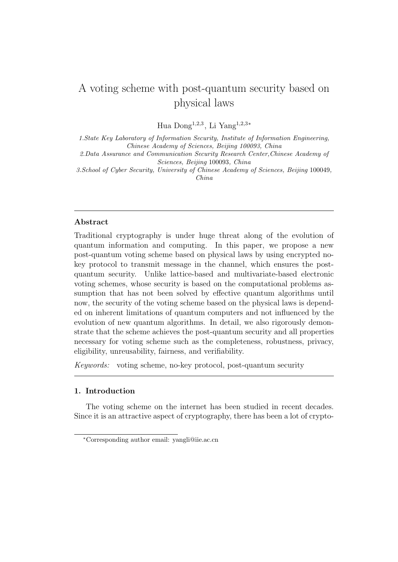# A voting scheme with post-quantum security based on physical laws

Hua Dong<sup>1</sup>*,*2*,*<sup>3</sup> , Li Yang<sup>1</sup>*,*2*,*3*<sup>∗</sup>*

*1.State Key Laboratory of Information Security, Institute of Information Engineering, Chinese Academy of Sciences, Beijing 100093, China*

*2.Data Assurance and Communication Security Research Center,Chinese Academy of Sciences, Beijing* 100093*, China*

*3.School of Cyber Security, University of Chinese Academy of Sciences, Beijing* 100049*, China*

## **Abstract**

Traditional cryptography is under huge threat along of the evolution of quantum information and computing. In this paper, we propose a new post-quantum voting scheme based on physical laws by using encrypted nokey protocol to transmit message in the channel, which ensures the postquantum security. Unlike lattice-based and multivariate-based electronic voting schemes, whose security is based on the computational problems assumption that has not been solved by effective quantum algorithms until now, the security of the voting scheme based on the physical laws is depended on inherent limitations of quantum computers and not influenced by the evolution of new quantum algorithms. In detail, we also rigorously demonstrate that the scheme achieves the post-quantum security and all properties necessary for voting scheme such as the completeness, robustness, privacy, eligibility, unreusability, fairness, and verifiability.

*Keywords:* voting scheme, no-key protocol, post-quantum security

## **1. Introduction**

The voting scheme on the internet has been studied in recent decades. Since it is an attractive aspect of cryptography, there has been a lot of crypto-

*<sup>∗</sup>*Corresponding author email: yangli@iie.ac.cn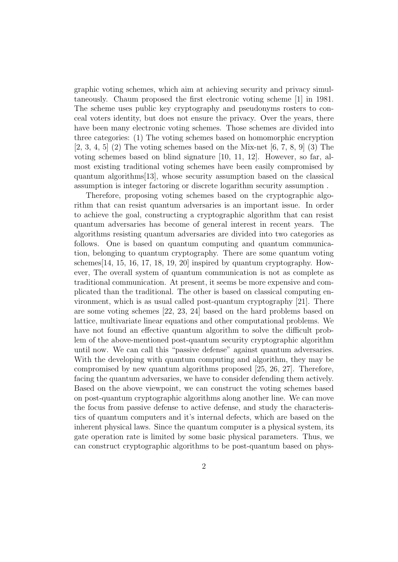graphic voting schemes, which aim at achieving security and privacy simultaneously. Chaum proposed the first electronic voting scheme [1] in 1981. The scheme uses public key cryptography and pseudonyms rosters to conceal voters identity, but does not ensure the privacy. Over the years, there have been many electronic voting schemes. Those schemes are divided into three categories: (1) The voting schemes based on homomorphic encryption  $[2, 3, 4, 5]$  (2) The voting schemes based on the Mix-net  $[6, 7, 8, 9]$  (3) The voting schemes based on blind signature [10, 11, 12]. However, so far, almost existing traditional voting schemes have been easily compromised by quantum algorithms[13], whose security assumption based on the classical assumption is integer factoring or discrete logarithm security assumption .

Therefore, proposing voting schemes based on the cryptographic algorithm that can resist quantum adversaries is an important issue. In order to achieve the goal, constructing a cryptographic algorithm that can resist quantum adversaries has become of general interest in recent years. The algorithms resisting quantum adversaries are divided into two categories as follows. One is based on quantum computing and quantum communication, belonging to quantum cryptography. There are some quantum voting schemes[14, 15, 16, 17, 18, 19, 20] inspired by quantum cryptography. However, The overall system of quantum communication is not as complete as traditional communication. At present, it seems be more expensive and complicated than the traditional. The other is based on classical computing environment, which is as usual called post-quantum cryptography [21]. There are some voting schemes [22, 23, 24] based on the hard problems based on lattice, multivariate linear equations and other computational problems. We have not found an effective quantum algorithm to solve the difficult problem of the above-mentioned post-quantum security cryptographic algorithm until now. We can call this "passive defense" against quantum adversaries. With the developing with quantum computing and algorithm, they may be compromised by new quantum algorithms proposed [25, 26, 27]. Therefore, facing the quantum adversaries, we have to consider defending them actively. Based on the above viewpoint, we can construct the voting schemes based on post-quantum cryptographic algorithms along another line. We can move the focus from passive defense to active defense, and study the characteristics of quantum computers and it's internal defects, which are based on the inherent physical laws. Since the quantum computer is a physical system, its gate operation rate is limited by some basic physical parameters. Thus, we can construct cryptographic algorithms to be post-quantum based on phys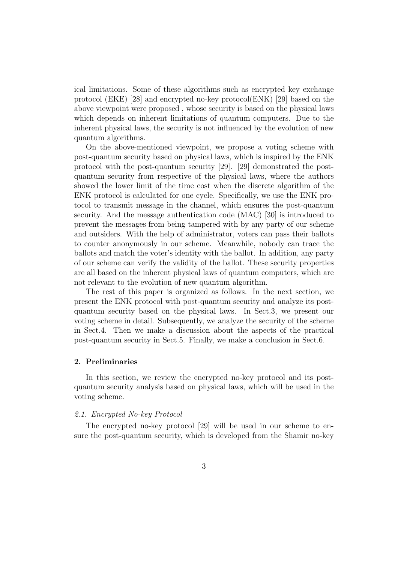ical limitations. Some of these algorithms such as encrypted key exchange protocol (EKE) [28] and encrypted no-key protocol(ENK) [29] based on the above viewpoint were proposed , whose security is based on the physical laws which depends on inherent limitations of quantum computers. Due to the inherent physical laws, the security is not influenced by the evolution of new quantum algorithms.

On the above-mentioned viewpoint, we propose a voting scheme with post-quantum security based on physical laws, which is inspired by the ENK protocol with the post-quantum security [29]. [29] demonstrated the postquantum security from respective of the physical laws, where the authors showed the lower limit of the time cost when the discrete algorithm of the ENK protocol is calculated for one cycle. Specifically, we use the ENK protocol to transmit message in the channel, which ensures the post-quantum security. And the message authentication code (MAC) [30] is introduced to prevent the messages from being tampered with by any party of our scheme and outsiders. With the help of administrator, voters can pass their ballots to counter anonymously in our scheme. Meanwhile, nobody can trace the ballots and match the voter's identity with the ballot. In addition, any party of our scheme can verify the validity of the ballot. These security properties are all based on the inherent physical laws of quantum computers, which are not relevant to the evolution of new quantum algorithm.

The rest of this paper is organized as follows. In the next section, we present the ENK protocol with post-quantum security and analyze its postquantum security based on the physical laws. In Sect.3, we present our voting scheme in detail. Subsequently, we analyze the security of the scheme in Sect.4. Then we make a discussion about the aspects of the practical post-quantum security in Sect.5. Finally, we make a conclusion in Sect.6.

## **2. Preliminaries**

In this section, we review the encrypted no-key protocol and its postquantum security analysis based on physical laws, which will be used in the voting scheme.

## *2.1. Encrypted No-key Protocol*

The encrypted no-key protocol [29] will be used in our scheme to ensure the post-quantum security, which is developed from the Shamir no-key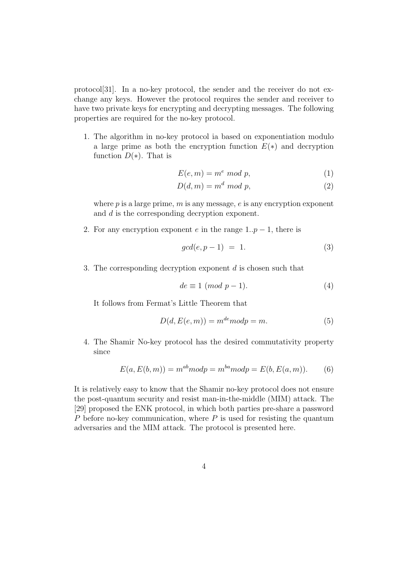protocol[31]. In a no-key protocol, the sender and the receiver do not exchange any keys. However the protocol requires the sender and receiver to have two private keys for encrypting and decrypting messages. The following properties are required for the no-key protocol.

1. The algorithm in no-key protocol ia based on exponentiation modulo a large prime as both the encryption function *E*(*∗*) and decryption function  $D(*)$ . That is

$$
E(e, m) = me mod p,
$$
\n(1)

$$
D(d, m) = m^d \mod p,\tag{2}
$$

where *p* is a large prime, *m* is any message, *e* is any encryption exponent and *d* is the corresponding decryption exponent.

2. For any encryption exponent *e* in the range  $1 \nvert p-1$ , there is

$$
gcd(e, p-1) = 1.
$$
\n<sup>(3)</sup>

3. The corresponding decryption exponent *d* is chosen such that

$$
de \equiv 1 \pmod{p-1}.\tag{4}
$$

It follows from Fermat's Little Theorem that

$$
D(d, E(e, m)) = mde mod p = m.
$$
 (5)

4. The Shamir No-key protocol has the desired commutativity property since

$$
E(a, E(b, m)) = m^{ab} \text{mod} p = m^{ba} \text{mod} p = E(b, E(a, m)).
$$
 (6)

It is relatively easy to know that the Shamir no-key protocol does not ensure the post-quantum security and resist man-in-the-middle (MIM) attack. The [29] proposed the ENK protocol, in which both parties pre-share a password *P* before no-key communication, where *P* is used for resisting the quantum adversaries and the MIM attack. The protocol is presented here.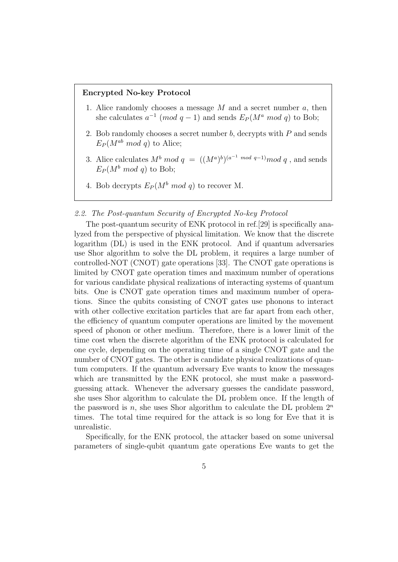## **Encrypted No-key Protocol**

- 1. Alice randomly chooses a message *M* and a secret number *a*, then she calculates  $a^{-1}$  (*mod*  $q - 1$ ) and sends  $E_P(M^a \mod q)$  to Bob;
- 2. Bob randomly chooses a secret number *b*, decrypts with *P* and sends  $E_P(M^{ab} \mod q)$  to Alice;
- 3. Alice calculates  $M^b \mod q = ((M^a)^b)^{(a^{-1} \mod q-1)} \mod q$ , and sends  $E_P(M^b \mod q)$  to Bob;
- 4. Bob decrypts  $E_P(M^b \mod q)$  to recover M.

## *2.2. The Post-quantum Security of Encrypted No-key Protocol*

The post-quantum security of ENK protocol in ref.[29] is specifically analyzed from the perspective of physical limitation. We know that the discrete logarithm (DL) is used in the ENK protocol. And if quantum adversaries use Shor algorithm to solve the DL problem, it requires a large number of controlled-NOT (CNOT) gate operations [33]. The CNOT gate operations is limited by CNOT gate operation times and maximum number of operations for various candidate physical realizations of interacting systems of quantum bits. One is CNOT gate operation times and maximum number of operations. Since the qubits consisting of CNOT gates use phonons to interact with other collective excitation particles that are far apart from each other, the efficiency of quantum computer operations are limited by the movement speed of phonon or other medium. Therefore, there is a lower limit of the time cost when the discrete algorithm of the ENK protocol is calculated for one cycle, depending on the operating time of a single CNOT gate and the number of CNOT gates. The other is candidate physical realizations of quantum computers. If the quantum adversary Eve wants to know the messages which are transmitted by the ENK protocol, she must make a passwordguessing attack. Whenever the adversary guesses the candidate password, she uses Shor algorithm to calculate the DL problem once. If the length of the password is *n*, she uses Shor algorithm to calculate the DL problem  $2^n$ times. The total time required for the attack is so long for Eve that it is unrealistic.

Specifically, for the ENK protocol, the attacker based on some universal parameters of single-qubit quantum gate operations Eve wants to get the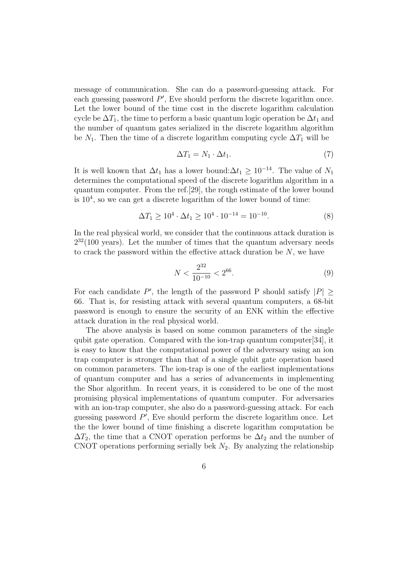message of communication. She can do a password-guessing attack. For each guessing password *P ′* , Eve should perform the discrete logarithm once. Let the lower bound of the time cost in the discrete logarithm calculation cycle be  $\Delta T_1$ , the time to perform a basic quantum logic operation be  $\Delta t_1$  and the number of quantum gates serialized in the discrete logarithm algorithm be  $N_1$ . Then the time of a discrete logarithm computing cycle  $\Delta T_1$  will be

$$
\Delta T_1 = N_1 \cdot \Delta t_1. \tag{7}
$$

It is well known that  $\Delta t_1$  has a lower bound: $\Delta t_1 \geq 10^{-14}$ . The value of  $N_1$ determines the computational speed of the discrete logarithm algorithm in a quantum computer. From the ref.[29], the rough estimate of the lower bound is  $10<sup>4</sup>$ , so we can get a discrete logarithm of the lower bound of time:

$$
\Delta T_1 \ge 10^4 \cdot \Delta t_1 \ge 10^4 \cdot 10^{-14} = 10^{-10}.\tag{8}
$$

In the real physical world, we consider that the continuous attack duration is  $2^{32}(100 \text{ years})$ . Let the number of times that the quantum adversary needs to crack the password within the effective attack duration be *N*, we have

$$
N < \frac{2^{32}}{10^{-10}} < 2^{66}.\tag{9}
$$

For each candidate  $P'$ , the length of the password P should satisfy  $|P| \ge$ 66. That is, for resisting attack with several quantum computers, a 68-bit password is enough to ensure the security of an ENK within the effective attack duration in the real physical world.

The above analysis is based on some common parameters of the single qubit gate operation. Compared with the ion-trap quantum computer[34], it is easy to know that the computational power of the adversary using an ion trap computer is stronger than that of a single qubit gate operation based on common parameters. The ion-trap is one of the earliest implementations of quantum computer and has a series of advancements in implementing the Shor algorithm. In recent years, it is considered to be one of the most promising physical implementations of quantum computer. For adversaries with an ion-trap computer, she also do a password-guessing attack. For each guessing password *P ′* , Eve should perform the discrete logarithm once. Let the the lower bound of time finishing a discrete logarithm computation be  $\Delta T_2$ , the time that a CNOT operation performs be  $\Delta t_2$  and the number of CNOT operations performing serially bek  $N_2$ . By analyzing the relationship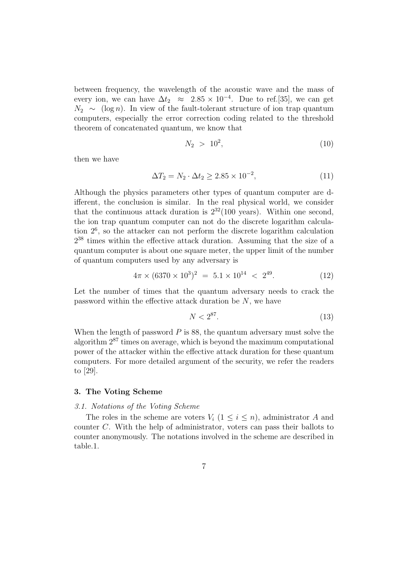between frequency, the wavelength of the acoustic wave and the mass of every ion, we can have  $\Delta t_2 \approx 2.85 \times 10^{-4}$ . Due to ref.[35], we can get  $N_2 \sim (\log n)$ . In view of the fault-tolerant structure of ion trap quantum computers, especially the error correction coding related to the threshold theorem of concatenated quantum, we know that

$$
N_2 \, > \, 10^2, \tag{10}
$$

then we have

$$
\Delta T_2 = N_2 \cdot \Delta t_2 \ge 2.85 \times 10^{-2},\tag{11}
$$

Although the physics parameters other types of quantum computer are different, the conclusion is similar. In the real physical world, we consider that the continuous attack duration is  $2^{32}(100 \text{ years})$ . Within one second, the ion trap quantum computer can not do the discrete logarithm calculation 2<sup>6</sup> , so the attacker can not perform the discrete logarithm calculation  $2^{38}$  times within the effective attack duration. Assuming that the size of a quantum computer is about one square meter, the upper limit of the number of quantum computers used by any adversary is

$$
4\pi \times (6370 \times 10^3)^2 = 5.1 \times 10^{14} < 2^{49}.\tag{12}
$$

Let the number of times that the quantum adversary needs to crack the password within the effective attack duration be *N*, we have

$$
N < 2^{87}.\tag{13}
$$

When the length of password  $P$  is 88, the quantum adversary must solve the algorithm  $2^{87}$  times on average, which is beyond the maximum computational power of the attacker within the effective attack duration for these quantum computers. For more detailed argument of the security, we refer the readers to [29].

## **3. The Voting Scheme**

#### *3.1. Notations of the Voting Scheme*

The roles in the scheme are voters  $V_i$  ( $1 \leq i \leq n$ ), administrator *A* and counter *C*. With the help of administrator, voters can pass their ballots to counter anonymously. The notations involved in the scheme are described in table.1.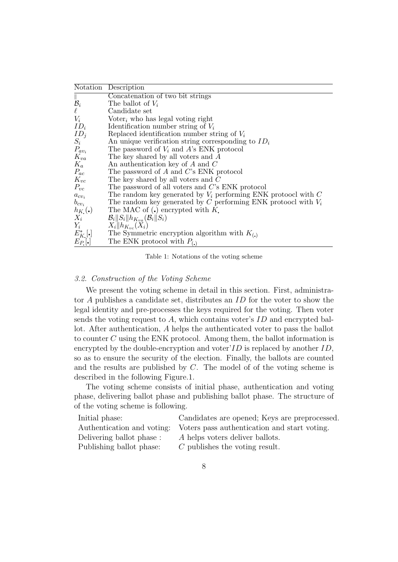|                            | Notation Description                                               |
|----------------------------|--------------------------------------------------------------------|
| $\mathbb{L}$               | Concatenation of two bit strings                                   |
| $\mathcal{B}_i$            | The ballot of $V_i$                                                |
| $\ell$                     | Candidate set                                                      |
| $V_i$                      | Voter <sub>i</sub> who has legal voting right                      |
| $ID_i$                     | Identification number string of $V_i$                              |
| $ID_j$                     | Replaced identification number string of $V_i$                     |
| $S_i$                      | An unique verification string corresponding to $ID_i$              |
| $P_{av_i}$                 | The password of $V_i$ and A's ENK protocol                         |
| $K_{va}$                   | The key shared by all voters and A                                 |
| $K_a$                      | An authentication key of $A$ and $C$                               |
| $P_{ac}$                   | The password of $A$ and $C$ 's ENK protocol                        |
| $K_{vc}$                   | The key shared by all voters and $C$                               |
| $P_{vc}$                   | The password of all voters and $C$ 's ENK protocol                 |
| $a_{cv_i}$                 | The random key generated by $V_i$ performing ENK protoocl with $C$ |
| $b_{cv_i}$                 | The random key generated by C performing ENK protocol with $V_i$   |
| $h_{K_{\bullet}}(\bullet)$ | The MAC of $\left(\centerdot\right)$ encrypted with K.             |
| $X_i$                      | $\mathcal{B}_i  S_i  h_{K_{va}}(\mathcal{B}_i  S_i)$               |
| $Y_i$                      | $X_i$    $h_{K_{vc}}(X_i)$                                         |
| $E_K^*$ [.]                | The Symmetric encryption algorithm with $K_{(.)}$                  |
| $E_P[\cdot]$               | The ENK protocol with $P_{(.)}$                                    |

Table 1: Notations of the voting scheme

## *3.2. Construction of the Voting Scheme*

We present the voting scheme in detail in this section. First, administrator *A* publishes a candidate set, distributes an *ID* for the voter to show the legal identity and pre-processes the keys required for the voting. Then voter sends the voting request to *A*, which contains voter's *ID* and encrypted ballot. After authentication, *A* helps the authenticated voter to pass the ballot to counter *C* using the ENK protocol. Among them, the ballot information is encrypted by the double-encryption and voter'*ID* is replaced by another *ID*, so as to ensure the security of the election. Finally, the ballots are counted and the results are published by *C*. The model of of the voting scheme is described in the following Figure.1.

The voting scheme consists of initial phase, authentication and voting phase, delivering ballot phase and publishing ballot phase. The structure of of the voting scheme is following.

| Initial phase:             | Candidates are opened; Keys are preprocessed. |
|----------------------------|-----------------------------------------------|
| Authentication and voting: | Voters pass authentication and start voting.  |
| Delivering ballot phase :  | A helps voters deliver ballots.               |
| Publishing ballot phase:   | $C$ publishes the voting result.              |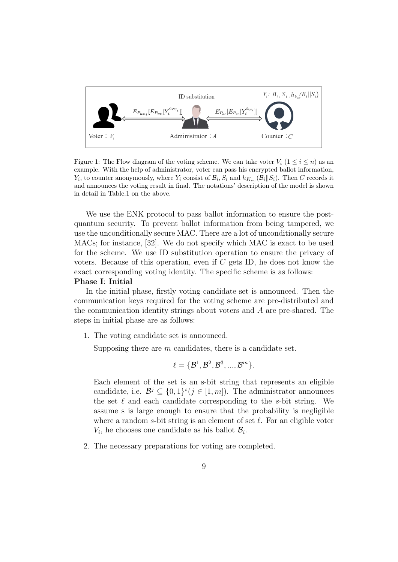

Figure 1: The Flow diagram of the voting scheme. We can take voter  $V_i$  ( $1 \le i \le n$ ) as an example. With the help of administrator, voter can pass his encrypted ballot information, *Y*<sub>*i*</sub>, to counter anonymously, where *Y*<sub>*i*</sub> consist of  $\mathcal{B}_i$ , *S*<sub>*i*</sub> and  $h_{K_{va}}(\mathcal{B}_i||S_i)$ . Then *C* records it and announces the voting result in final. The notations' description of the model is shown in detail in Table.1 on the above.

We use the ENK protocol to pass ballot information to ensure the postquantum security. To prevent ballot information from being tampered, we use the unconditionally secure MAC. There are a lot of unconditionally secure MACs; for instance, [32]. We do not specify which MAC is exact to be used for the scheme. We use ID substitution operation to ensure the privacy of voters. Because of this operation, even if *C* gets ID, he does not know the exact corresponding voting identity. The specific scheme is as follows:

## **Phase I**: **Initial**

In the initial phase, firstly voting candidate set is announced. Then the communication keys required for the voting scheme are pre-distributed and the communication identity strings about voters and *A* are pre-shared. The steps in initial phase are as follows:

1. The voting candidate set is announced.

Supposing there are *m* candidates, there is a candidate set.

$$
\ell = {\mathcal{B}^1, \mathcal{B}^2, \mathcal{B}^3, ..., \mathcal{B}^m}.
$$

Each element of the set is an s-bit string that represents an eligible candidate, i.e.  $\mathcal{B}^j \subseteq \{0,1\}^s (j \in [1,m])$ . The administrator announces the set *ℓ* and each candidate corresponding to the *s*-bit string. We assume s is large enough to ensure that the probability is negligible where a random *s*-bit string is an element of set *ℓ*. For an eligible voter  $V_i$ , he chooses one candidate as his ballot  $B_i$ .

2. The necessary preparations for voting are completed.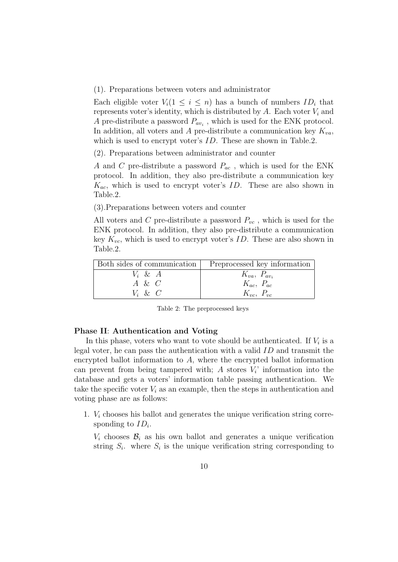(1). Preparations between voters and administrator

Each eligible voter  $V_i(1 \leq i \leq n)$  has a bunch of numbers  $ID_i$  that represents voter's identity, which is distributed by  $A$ . Each voter  $V_i$  and *A* pre-distribute a password *Pav<sup>i</sup>* , which is used for the ENK protocol. In addition, all voters and *A* pre-distribute a communication key  $K_{va}$ , which is used to encrypt voter's *ID*. These are shown in Table.2.

(2). Preparations between administrator and counter

*A* and *C* pre-distribute a password *Pac* , which is used for the ENK protocol. In addition, they also pre-distribute a communication key *Kac*, which is used to encrypt voter's *ID*. These are also shown in Table.2.

(3).Preparations between voters and counter

All voters and *C* pre-distribute a password *Pvc* , which is used for the ENK protocol. In addition, they also pre-distribute a communication key *Kvc*, which is used to encrypt voter's *ID*. These are also shown in Table.2.

|           | Both sides of communication   Preprocessed key information |
|-----------|------------------------------------------------------------|
| $V_i$ & A | $K_{va}$ , $P_{av_i}$                                      |
| $A \& C$  | $K_{ac}, P_{ac}$                                           |
| $V_i$ & C | $K_{vc}, P_{vc}$                                           |

Table 2: The preprocessed keys

#### **Phase II**: **Authentication and Voting**

In this phase, voters who want to vote should be authenticated. If  $V_i$  is a legal voter, he can pass the authentication with a valid *ID* and transmit the encrypted ballot information to *A*, where the encrypted ballot information can prevent from being tampered with;  $A$  stores  $V_i$  information into the database and gets a voters' information table passing authentication. We take the specific voter  $V_i$  as an example, then the steps in authentication and voting phase are as follows:

1. *V<sup>i</sup>* chooses his ballot and generates the unique verification string corresponding to *ID<sup>i</sup>* .

 $V_i$  chooses  $\mathcal{B}_i$  as his own ballot and generates a unique verification string  $S_i$ , where  $S_i$  is the unique verification string corresponding to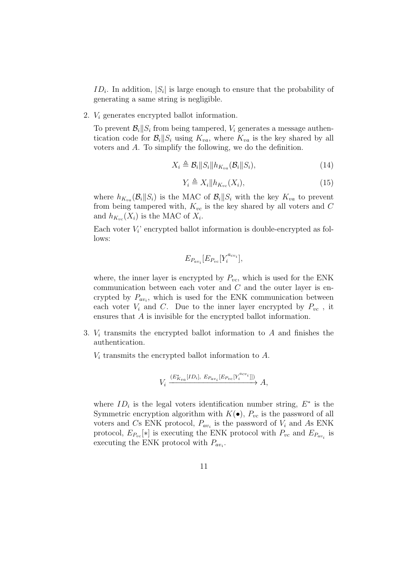*ID<sup>i</sup>* . In addition, *|S<sup>i</sup> |* is large enough to ensure that the probability of generating a same string is negligible.

2. *V<sup>i</sup>* generates encrypted ballot information.

To prevent  $\mathcal{B}_i||S_i$  from being tampered,  $V_i$  generates a message authentication code for  $\mathcal{B}_i||S_i$  using  $K_{va}$ , where  $K_{va}$  is the key shared by all voters and *A*. To simplify the following, we do the definition.

$$
X_i \triangleq \mathcal{B}_i \| S_i \| h_{K_{va}}(\mathcal{B}_i \| S_i), \tag{14}
$$

$$
Y_i \triangleq X_i \| h_{K_{vc}}(X_i), \tag{15}
$$

where  $h_{K_{va}}(\mathcal{B}_i||S_i)$  is the MAC of  $\mathcal{B}_i||S_i$  with the key  $K_{va}$  to prevent from being tampered with, *Kvc* is the key shared by all voters and *C* and  $h_{K_{vc}}(X_i)$  is the MAC of  $X_i$ .

Each voter  $V_i$  encrypted ballot information is double-encrypted as follows:

$$
E_{P_{av_i}}[E_{P_{vc}}[Y_i^{a_{cv_i}}],
$$

where, the inner layer is encrypted by  $P_{vc}$ , which is used for the ENK communication between each voter and *C* and the outer layer is encrypted by  $P_{av_i}$ , which is used for the ENK communication between each voter  $V_i$  and  $C$ . Due to the inner layer encrypted by  $P_{vc}$ , it ensures that *A* is invisible for the encrypted ballot information.

- 3. *V<sup>i</sup>* transmits the encrypted ballot information to *A* and finishes the authentication.
	- *V<sup>i</sup>* transmits the encrypted ballot information to *A*.

$$
V_i \xrightarrow{(E^*_{Kva}[ID_i], E_{Pav_i}[E_{Pvc}[Y_i^{acv_i}]])} A,
$$

where  $ID_i$  is the legal voters identification number string,  $E^*$  is the Symmetric encryption algorithm with  $K(\bullet)$ ,  $P_{vc}$  is the password of all voters and *C*s ENK protocol,  $P_{av_i}$  is the password of  $V_i$  and As ENK protocol,  $E_{P_{vc}}[*]$  is executing the ENK protocol with  $P_{vc}$  and  $E_{P_{av_i}}$  is executing the ENK protocol with *Pav<sup>i</sup>* .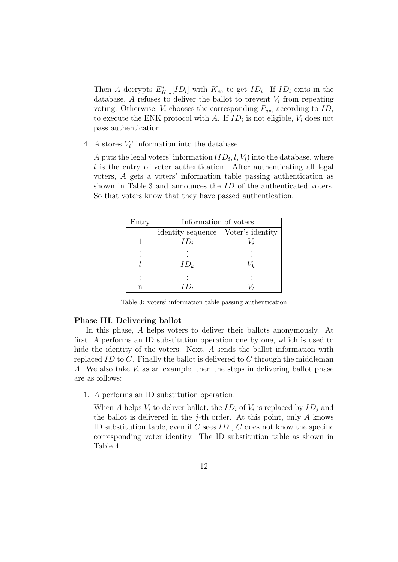Then *A* decrypts  $E_{K_{va}}^*[ID_i]$  with  $K_{va}$  to get  $ID_i$ . If  $ID_i$  exits in the database,  $A$  refuses to deliver the ballot to prevent  $V_i$  from repeating voting. Otherwise,  $V_i$  chooses the corresponding  $P_{av_i}$  according to  $ID_i$ to execute the ENK protocol with *A*. If  $ID_i$  is not eligible,  $V_i$  does not pass authentication.

4. *A* stores  $V_i$  information into the database.

*A* puts the legal voters' information  $(ID_i, l, V_i)$  into the database, where *l* is the entry of voter authentication. After authenticating all legal voters, *A* gets a voters' information table passing authentication as shown in Table.3 and announces the *ID* of the authenticated voters. So that voters know that they have passed authentication.

| Entry | Information of voters |                  |  |
|-------|-----------------------|------------------|--|
|       | identity sequence     | Voter's identity |  |
|       | $ID_i$                |                  |  |
|       |                       |                  |  |
|       | $ID_k$                | $\frac{1}{k}$    |  |
|       |                       |                  |  |
|       |                       |                  |  |

Table 3: voters' information table passing authentication

## **Phase III**: **Delivering ballot**

In this phase, *A* helps voters to deliver their ballots anonymously. At first, *A* performs an ID substitution operation one by one, which is used to hide the identity of the voters. Next, *A* sends the ballot information with replaced *ID* to *C*. Finally the ballot is delivered to *C* through the middleman *A*. We also take *V<sup>i</sup>* as an example, then the steps in delivering ballot phase are as follows:

1. *A* performs an ID substitution operation.

When *A* helps  $V_i$  to deliver ballot, the  $ID_i$  of  $V_i$  is replaced by  $ID_j$  and the ballot is delivered in the *j*-th order. At this point, only *A* knows ID substitution table, even if *C* sees *ID* , *C* does not know the specific corresponding voter identity. The ID substitution table as shown in Table 4.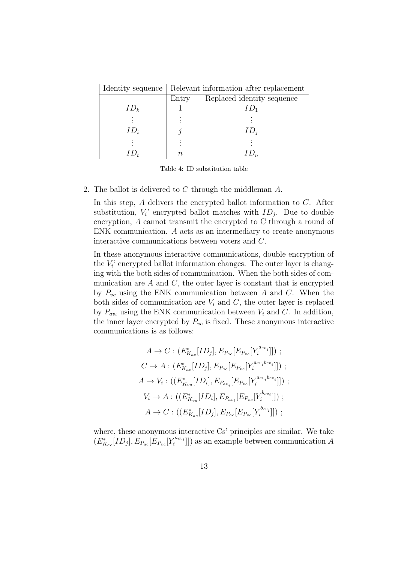| Identity sequence | Relevant information after replacement |                            |  |
|-------------------|----------------------------------------|----------------------------|--|
|                   | Entry                                  | Replaced identity sequence |  |
| $ID_k$            |                                        |                            |  |
|                   |                                        |                            |  |
| $ID_i$            |                                        | $1\,L$                     |  |
|                   |                                        |                            |  |
|                   | $\eta$                                 |                            |  |

Table 4: ID substitution table

## 2. The ballot is delivered to *C* through the middleman *A*.

In this step, *A* delivers the encrypted ballot information to *C*. After substitution,  $V_i$  encrypted ballot matches with  $ID_j$ . Due to double encryption, *A* cannot transmit the encrypted to C through a round of ENK communication. *A* acts as an intermediary to create anonymous interactive communications between voters and *C*.

In these anonymous interactive communications, double encryption of the  $V_i$ <sup> $\cdot$ </sup> encrypted ballot information changes. The outer layer is changing with the both sides of communication. When the both sides of communication are  $A$  and  $C$ , the outer layer is constant that is encrypted by *Pvc* using the ENK communication between *A* and *C*. When the both sides of communication are  $V_i$  and  $C$ , the outer layer is replaced by  $P_{av_i}$  using the ENK communication between  $V_i$  and  $C$ . In addition, the inner layer encrypted by  $P_{vc}$  is fixed. These anonymous interactive communications is as follows:

$$
A \to C : (E_{K_{ac}}^{*}[ID_j], E_{P_{ac}}[E_{P_{vc}}[Y_i^{a_{cv_i}}]]) ;
$$
  
\n
$$
C \to A : (E_{K_{ac}}^{*}[ID_j], E_{P_{ac}}[E_{P_{vc}}[Y_i^{a_{cv_i}b_{cv_i}}]]) ;
$$
  
\n
$$
A \to V_i : ((E_{K_{va}}^{*}[ID_i], E_{P_{av_i}}[E_{P_{vc}}[Y_i^{a_{cv_i}b_{cv_i}}]]) ;
$$
  
\n
$$
V_i \to A : ((E_{K_{va}}^{*}[ID_i], E_{P_{av_i}}[E_{P_{vc}}[Y_i^{b_{cv_i}}]]) ;
$$
  
\n
$$
A \to C : ((E_{K_{ac}}^{*}[ID_j], E_{P_{ac}}[E_{P_{vc}}[Y_i^{b_{cv_i}}]]) ;
$$

where, these anonymous interactive Cs' principles are similar. We take  $(E_{K_{ac}}^*[ID_j], E_{P_{ac}}[\tilde{E}_{P_{vc}}[Y_i^{a_{cv_i}}]])$  as an example between communication *A*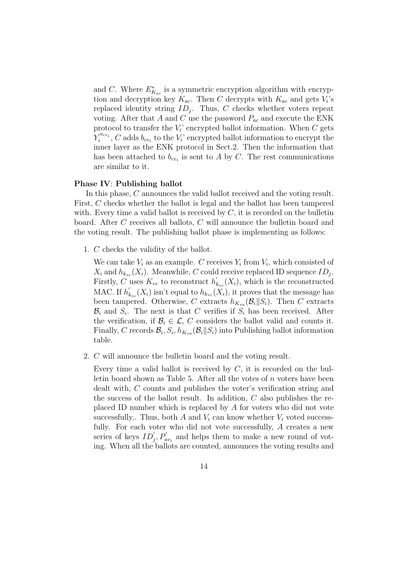and *C*. Where  $E^*_{K_{ac}}$  is a symmetric encryption algorithm with encryption and decryption key  $K_{ac}$ . Then *C* decrypts with  $K_{ac}$  and gets  $V_i$ 's replaced identity string *ID<sup>j</sup>* . Thus, *C* checks whether voters repeat voting. After that *A* and *C* use the password *Pac* and execute the ENK protocol to transfer the  $V_i$ <sup>'</sup> encrypted ballot information. When  $C$  gets  $Y_i^{a_{cv_i}}$ , *C* adds  $b_{cv_i}$  to the  $V_i$ ' encrypted ballot information to encrypt the inner layer as the ENK protocol in Sect.2. Then the information that has been attached to  $b_{cv_i}$  is sent to A by C. The rest communications are similar to it.

## **Phase IV**: **Publishing ballot**

In this phase, *C* announces the valid ballot received and the voting result. First, *C* checks whether the ballot is legal and the ballot has been tampered with. Every time a valid ballot is received by  $C$ , it is recorded on the bulletin board. After *C* receives all ballots, *C* will announce the bulletin board and the voting result. The publishing ballot phase is implementing as follows:

1. *C* checks the validity of the ballot.

We can take  $V_i$  as an example. *C* receives  $Y_i$  from  $V_i$ , which consisted of  $X_i$  and  $h_{k_{vc}}(X_i)$ . Meanwhile, *C* could receive replaced ID sequence  $ID_j$ . Firstly, *C* uses  $K_{vc}$  to reconstruct  $h'_{kv}(X_i)$ , which is the reconstructed MAC. If  $h'_{k_{vc}}(X_i)$  isn't equal to  $h_{k_{vc}}(X_i)$ , it proves that the message has been tampered. Otherwise, *C* extracts  $h_{K_{va}}(\mathcal{B}_i||S_i)$ . Then *C* extracts  $\mathcal{B}_i$  and  $S_i$ . The next is that *C* verifies if  $S_i$  has been received. After the verification, if  $\mathcal{B}_i \in \mathcal{L}$ , *C* considers the ballot valid and counts it. Finally, *C* records  $\mathcal{B}_i$ ,  $S_i$ ,  $h_{K_{va}}(\mathcal{B}_i||S_i)$  into Publishing ballot information table.

2. *C* will announce the bulletin board and the voting result.

Every time a valid ballot is received by *C*, it is recorded on the bulletin board shown as Table 5. After all the votes of *n* voters have been dealt with, *C* counts and publishes the voter's verification string and the success of the ballot result. In addition, *C* also publishes the replaced ID number which is replaced by *A* for voters who did not vote successfully,. Thus, both A and  $V_i$  can know whether  $V_i$  voted successfully. For each voter who did not vote successfully, *A* creates a new series of keys  $ID'_{j}, P'_{av_i}$  and helps them to make a new round of voting. When all the ballots are counted, announces the voting results and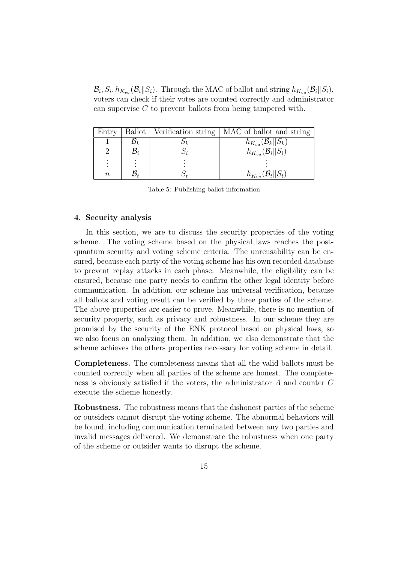$\mathcal{B}_i$ ,  $S_i$ ,  $h_{K_{va}}(\mathcal{B}_i||S_i)$ . Through the MAC of ballot and string  $h_{K_{va}}(\mathcal{B}_i||S_i)$ , voters can check if their votes are counted correctly and administrator can supervise *C* to prevent ballots from being tampered with.

| Entry          |                 | Ballot   Verification string   MAC of ballot and string |
|----------------|-----------------|---------------------------------------------------------|
|                | $\mathcal{B}_k$ | $h_{K_{va}}(\mathcal{B}_k  S_k)$                        |
| 2              | $\mathcal{B}_i$ | $h_{K_{va}}(\mathcal{B}_i  S_i)$                        |
| $\ddot{\cdot}$ |                 |                                                         |
| $\, n$         |                 | $h_{K_{va}}(\mathcal{B}_t \  S_t)$                      |

Table 5: Publishing ballot information

## **4. Security analysis**

In this section, we are to discuss the security properties of the voting scheme. The voting scheme based on the physical laws reaches the postquantum security and voting scheme criteria. The unreusability can be ensured, because each party of the voting scheme has his own recorded database to prevent replay attacks in each phase. Meanwhile, the eligibility can be ensured, because one party needs to confirm the other legal identity before communication. In addition, our scheme has universal verification, because all ballots and voting result can be verified by three parties of the scheme. The above properties are easier to prove. Meanwhile, there is no mention of security property, such as privacy and robustness. In our scheme they are promised by the security of the ENK protocol based on physical laws, so we also focus on analyzing them. In addition, we also demonstrate that the scheme achieves the others properties necessary for voting scheme in detail.

**Completeness.** The completeness means that all the valid ballots must be counted correctly when all parties of the scheme are honest. The completeness is obviously satisfied if the voters, the administrator *A* and counter *C* execute the scheme honestly.

**Robustness.** The robustness means that the dishonest parties of the scheme or outsiders cannot disrupt the voting scheme. The abnormal behaviors will be found, including communication terminated between any two parties and invalid messages delivered. We demonstrate the robustness when one party of the scheme or outsider wants to disrupt the scheme.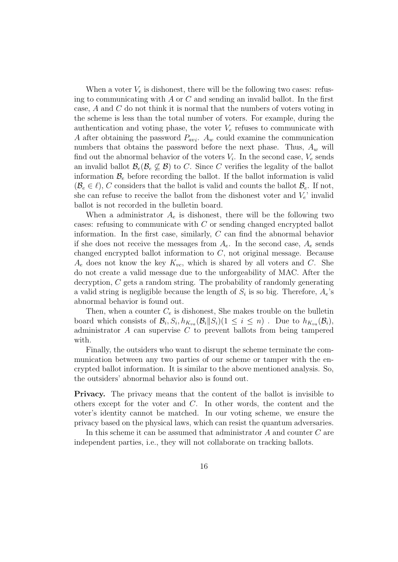When a voter  $V_e$  is dishonest, there will be the following two cases: refusing to communicating with *A* or *C* and sending an invalid ballot. In the first case, *A* and *C* do not think it is normal that the numbers of voters voting in the scheme is less than the total number of voters. For example, during the authentication and voting phase, the voter  $V_e$  refuses to communicate with *A* after obtaining the password *Pavi* . *A<sup>w</sup>* could examine the communication numbers that obtains the password before the next phase. Thus, *A<sup>w</sup>* will find out the abnormal behavior of the voters  $V_i$ . In the second case,  $V_e$  sends an invalid ballot  $\mathcal{B}_e(\mathcal{B}_e \not\subset \mathcal{B})$  to *C*. Since *C* verifies the legality of the ballot information  $\mathcal{B}_e$  before recording the ballot. If the ballot information is valid  $(\mathcal{B}_e \in \ell)$ , *C* considers that the ballot is valid and counts the ballot  $\mathcal{B}_e$ . If not, she can refuse to receive the ballot from the dishonest voter and  $V_e$ ' invalid ballot is not recorded in the bulletin board.

When a administrator  $A_e$  is dishonest, there will be the following two cases: refusing to communicate with *C* or sending changed encrypted ballot information. In the first case, similarly, *C* can find the abnormal behavior if she does not receive the messages from  $A_e$ . In the second case,  $A_e$  sends changed encrypted ballot information to *C*, not original message. Because  $A_e$  does not know the key  $K_{vc}$ , which is shared by all voters and *C*. She do not create a valid message due to the unforgeability of MAC. After the decryption, *C* gets a random string. The probability of randomly generating a valid string is negligible because the length of  $S_i$  is so big. Therefore,  $A_e$ 's abnormal behavior is found out.

Then, when a counter  $C_e$  is dishonest, She makes trouble on the bulletin board which consists of  $\mathcal{B}_i$ ,  $S_i$ ,  $h_{K_{va}}(\mathcal{B}_i||S_i)(1 \leq i \leq n)$ . Due to  $h_{K_{va}}(\mathcal{B}_i)$ , administrator *A* can supervise *C* to prevent ballots from being tampered with.

Finally, the outsiders who want to disrupt the scheme terminate the communication between any two parties of our scheme or tamper with the encrypted ballot information. It is similar to the above mentioned analysis. So, the outsiders' abnormal behavior also is found out.

**Privacy.** The privacy means that the content of the ballot is invisible to others except for the voter and *C*. In other words, the content and the voter's identity cannot be matched. In our voting scheme, we ensure the privacy based on the physical laws, which can resist the quantum adversaries.

In this scheme it can be assumed that administrator *A* and counter *C* are independent parties, i.e., they will not collaborate on tracking ballots.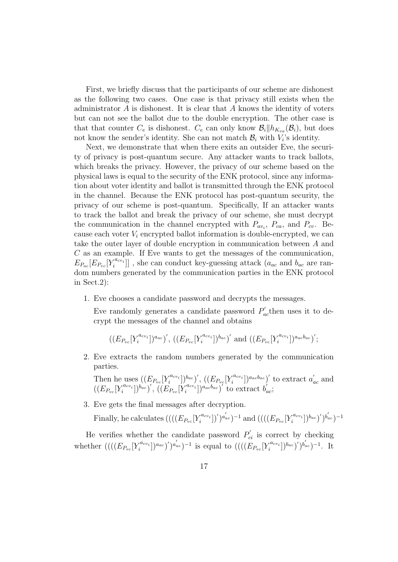First, we briefly discuss that the participants of our scheme are dishonest as the following two cases. One case is that privacy still exists when the administrator *A* is dishonest. It is clear that *A* knows the identity of voters but can not see the ballot due to the double encryption. The other case is that that counter  $C_e$  is dishonest.  $C_e$  can only know  $\mathcal{B}_i || h_{K_{va}}(\mathcal{B}_i)$ , but does not know the sender's identity. She can not match  $\mathcal{B}_i$  with  $V_i$ 's identity.

Next, we demonstrate that when there exits an outsider Eve, the security of privacy is post-quantum secure. Any attacker wants to track ballots, which breaks the privacy. However, the privacy of our scheme based on the physical laws is equal to the security of the ENK protocol, since any information about voter identity and ballot is transmitted through the ENK protocol in the channel. Because the ENK protocol has post-quantum security, the privacy of our scheme is post-quantum. Specifically, If an attacker wants to track the ballot and break the privacy of our scheme, she must decrypt the communication in the channel encrypted with  $P_{av_i}$ ,  $P_{ca}$ , and  $P_{cv}$ . Because each voter *V<sup>i</sup>* encrypted ballot information is double-encrypted, we can take the outer layer of double encryption in communication between *A* and *C* as an example. If Eve wants to get the messages of the communication,  $E_{P_{ac}}[E_{P_{vc}}[Y_i^{a_{cv_i}}]]$ , she can conduct key-guessing attack (*a<sub>ac</sub>* and *b<sub>ac</sub>* are random numbers generated by the communication parties in the ENK protocol in Sect.2):

1. Eve chooses a candidate password and decrypts the messages.

Eve randomly generates a candidate password  $P'_{ac}$  then uses it to decrypt the messages of the channel and obtains

$$
((E_{P_{vc}}[Y_i^{a_{cv_i}}])^{a_{ac}})', ((E_{P_{vc}}[Y_i^{a_{cv_i}}])^{b_{ac}})' \text{ and } ((E_{P_{vc}}[Y_i^{a_{cv_i}}])^{a_{ac}b_{ac}})';
$$

2. Eve extracts the random numbers generated by the communication parties.

Then he uses  $((E_{P_{vc}}[Y_i^{a_{cv_i}}])_{a}^{b_{ac}})'$ ,  $((E_{P_{vc}}[Y_i^{a_{cv_i}}])_{a_{ac}b_{ac}})'$  to extract  $a'_{ac}$  and  $((E_{P_{vc}}[Y_i^{a_{cv_i}}])^{b_{ac}})'$ ,  $((E_{P_{vc}}[Y_i^{a_{cv_i}}])^{a_{ac}b_{ac}})'$  to extract  $b'_{ac}$ ;

3. Eve gets the final messages after decryption.

Finally, he calculates  $(((E_{Pvc}[Y_i^{a_{cv_i}}])')^{a_{ac}'})^{-1}$  and  $(((E_{Pvc}[Y_i^{a_{cv_i}}])^{b_{ac}})')^{b_{ac}'})^{-1}$ 

He verifies whether the candidate password  $P'_{ci}$  is correct by checking whether  $(((E_{P_{vc}}[Y_i^{a_{cv_i}}])^{a_{ac}})^{'})^{a'_{ac}})^{-1}$  is equal to  $(((E_{P_{vc}}[Y_i^{a_{cv_i}}])^{b_{ac}})^{'})^{b'_{ac}})^{-1}$ . It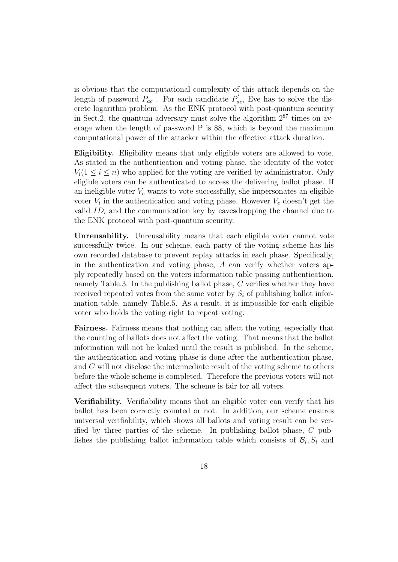is obvious that the computational complexity of this attack depends on the length of password  $P_{ac}$ . For each candidate  $P'_{ac}$ , Eve has to solve the discrete logarithm problem. As the ENK protocol with post-quantum security in Sect.2, the quantum adversary must solve the algorithm  $2^{87}$  times on average when the length of password P is 88, which is beyond the maximum computational power of the attacker within the effective attack duration.

**Eligibility.** Eligibility means that only eligible voters are allowed to vote. As stated in the authentication and voting phase, the identity of the voter  $V_i(1 \leq i \leq n)$  who applied for the voting are verified by administrator. Only eligible voters can be authenticated to access the delivering ballot phase. If an ineligible voter  $V_e$  wants to vote successfully, she impersonates an eligible voter  $V_i$  in the authentication and voting phase. However  $V_e$  doesn't get the valid  $ID_i$  and the communication key by eavesdropping the channel due to the ENK protocol with post-quantum security.

**Unreusability.** Unreusability means that each eligible voter cannot vote successfully twice. In our scheme, each party of the voting scheme has his own recorded database to prevent replay attacks in each phase. Specifically, in the authentication and voting phase, *A* can verify whether voters apply repeatedly based on the voters information table passing authentication, namely Table.3. In the publishing ballot phase, *C* verifies whether they have received repeated votes from the same voter by  $S_i$  of publishing ballot information table, namely Table.5. As a result, it is impossible for each eligible voter who holds the voting right to repeat voting.

**Fairness.** Fairness means that nothing can affect the voting, especially that the counting of ballots does not affect the voting. That means that the ballot information will not be leaked until the result is published. In the scheme, the authentication and voting phase is done after the authentication phase, and *C* will not disclose the intermediate result of the voting scheme to others before the whole scheme is completed. Therefore the previous voters will not affect the subsequent voters. The scheme is fair for all voters.

**Verifiability.** Verifiability means that an eligible voter can verify that his ballot has been correctly counted or not. In addition, our scheme ensures universal verifiability, which shows all ballots and voting result can be verified by three parties of the scheme. In publishing ballot phase, *C* publishes the publishing ballot information table which consists of  $\mathcal{B}_i$ ,  $S_i$  and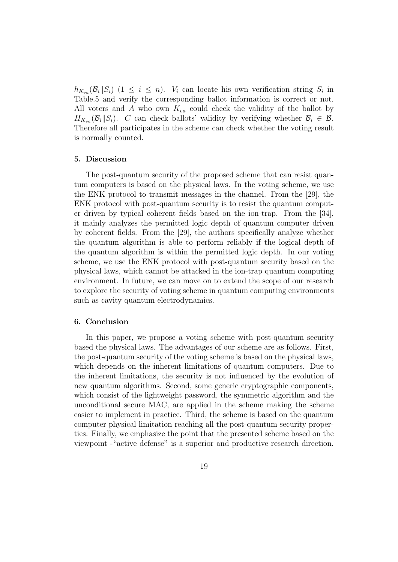$h_{K_{va}}(\mathcal{B}_i||S_i)$  (1  $\leq i \leq n$ ). *V<sub>i</sub>* can locate his own verification string  $S_i$  in Table.5 and verify the corresponding ballot information is correct or not. All voters and *A* who own *Kva* could check the validity of the ballot by  $H_{K_{va}}(\mathcal{B}_i||S_i)$ . *C* can check ballots' validity by verifying whether  $\mathcal{B}_i \in \mathcal{B}$ . Therefore all participates in the scheme can check whether the voting result is normally counted.

#### **5. Discussion**

The post-quantum security of the proposed scheme that can resist quantum computers is based on the physical laws. In the voting scheme, we use the ENK protocol to transmit messages in the channel. From the [29], the ENK protocol with post-quantum security is to resist the quantum computer driven by typical coherent fields based on the ion-trap. From the [34], it mainly analyzes the permitted logic depth of quantum computer driven by coherent fields. From the [29], the authors specifically analyze whether the quantum algorithm is able to perform reliably if the logical depth of the quantum algorithm is within the permitted logic depth. In our voting scheme, we use the ENK protocol with post-quantum security based on the physical laws, which cannot be attacked in the ion-trap quantum computing environment. In future, we can move on to extend the scope of our research to explore the security of voting scheme in quantum computing environments such as cavity quantum electrodynamics.

## **6. Conclusion**

In this paper, we propose a voting scheme with post-quantum security based the physical laws. The advantages of our scheme are as follows. First, the post-quantum security of the voting scheme is based on the physical laws, which depends on the inherent limitations of quantum computers. Due to the inherent limitations, the security is not influenced by the evolution of new quantum algorithms. Second, some generic cryptographic components, which consist of the lightweight password, the symmetric algorithm and the unconditional secure MAC, are applied in the scheme making the scheme easier to implement in practice. Third, the scheme is based on the quantum computer physical limitation reaching all the post-quantum security properties. Finally, we emphasize the point that the presented scheme based on the viewpoint -"active defense" is a superior and productive research direction.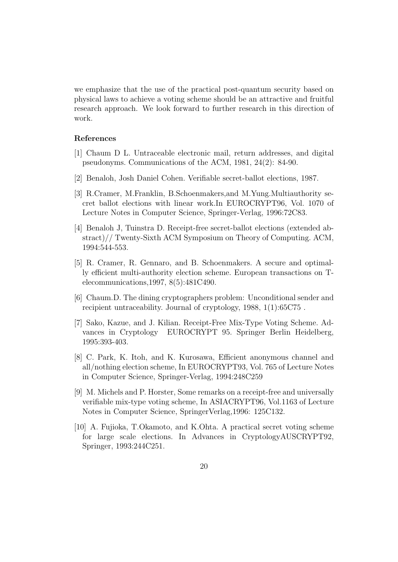we emphasize that the use of the practical post-quantum security based on physical laws to achieve a voting scheme should be an attractive and fruitful research approach. We look forward to further research in this direction of work.

## **References**

- [1] Chaum D L. Untraceable electronic mail, return addresses, and digital pseudonyms. Communications of the ACM, 1981, 24(2): 84-90.
- [2] Benaloh, Josh Daniel Cohen. Verifiable secret-ballot elections, 1987.
- [3] R.Cramer, M.Franklin, B.Schoenmakers,and M.Yung.Multiauthority secret ballot elections with linear work.In EUROCRYPT96, Vol. 1070 of Lecture Notes in Computer Science, Springer-Verlag, 1996:72C83.
- [4] Benaloh J, Tuinstra D. Receipt-free secret-ballot elections (extended abstract)// Twenty-Sixth ACM Symposium on Theory of Computing. ACM, 1994:544-553.
- [5] R. Cramer, R. Gennaro, and B. Schoenmakers. A secure and optimally efficient multi-authority election scheme. European transactions on Telecommunications,1997, 8(5):481C490.
- [6] Chaum.D. The dining cryptographers problem: Unconditional sender and recipient untraceability. Journal of cryptology, 1988, 1(1):65C75 .
- [7] Sako, Kazue, and J. Kilian. Receipt-Free Mix-Type Voting Scheme. Advances in Cryptology EUROCRYPT 95. Springer Berlin Heidelberg, 1995:393-403.
- [8] C. Park, K. Itoh, and K. Kurosawa, Efficient anonymous channel and all/nothing election scheme, In EUROCRYPT93, Vol. 765 of Lecture Notes in Computer Science, Springer-Verlag, 1994:248C259
- [9] M. Michels and P. Horster, Some remarks on a receipt-free and universally verifiable mix-type voting scheme, In ASIACRYPT96, Vol.1163 of Lecture Notes in Computer Science, SpringerVerlag,1996: 125C132.
- [10] A. Fujioka, T.Okamoto, and K.Ohta. A practical secret voting scheme for large scale elections. In Advances in CryptologyAUSCRYPT92, Springer, 1993:244C251.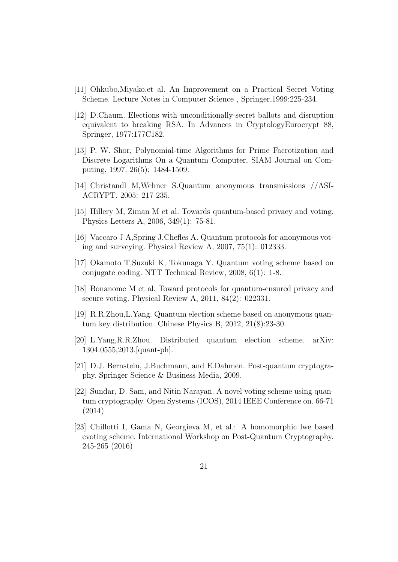- [11] Ohkubo,Miyako,et al. An Improvement on a Practical Secret Voting Scheme. Lecture Notes in Computer Science , Springer,1999:225-234.
- [12] D.Chaum. Elections with unconditionally-secret ballots and disruption equivalent to breaking RSA. In Advances in CryptologyEurocrypt 88, Springer, 1977:177C182.
- [13] P. W. Shor, Polynomial-time Algorithms for Prime Facrotization and Discrete Logarithms On a Quantum Computer, SIAM Journal on Computing, 1997, 26(5): 1484-1509.
- [14] Christandl M,Wehner S.Quantum anonymous transmissions //ASI-ACRYPT. 2005: 217-235.
- [15] Hillery M, Ziman M et al. Towards quantum-based privacy and voting. Physics Letters A, 2006, 349(1): 75-81.
- [16] Vaccaro J A,Spring J,Chefles A. Quantum protocols for anonymous voting and surveying. Physical Review A, 2007, 75(1): 012333.
- [17] Okamoto T,Suzuki K, Tokunaga Y. Quantum voting scheme based on conjugate coding. NTT Technical Review, 2008, 6(1): 1-8.
- [18] Bonanome M et al. Toward protocols for quantum-ensured privacy and secure voting. Physical Review A, 2011, 84(2): 022331.
- [19] R.R.Zhou,L.Yang. Quantum election scheme based on anonymous quantum key distribution. Chinese Physics B, 2012, 21(8):23-30.
- [20] L.Yang,R.R.Zhou. Distributed quantum election scheme. arXiv: 1304.0555,2013.[quant-ph].
- [21] D.J. Bernstein, J.Buchmann, and E.Dahmen. Post-quantum cryptography. Springer Science & Business Media, 2009.
- [22] Sundar, D. Sam, and Nitin Narayan. A novel voting scheme using quantum cryptography. Open Systems (ICOS), 2014 IEEE Conference on. 66-71 (2014)
- [23] Chillotti I, Gama N, Georgieva M, et al.: A homomorphic lwe based evoting scheme. International Workshop on Post-Quantum Cryptography. 245-265 (2016)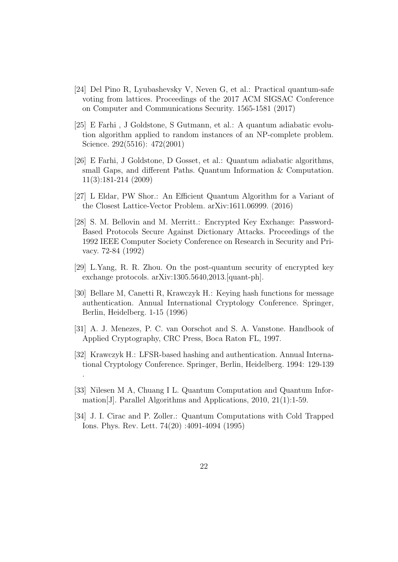- [24] Del Pino R, Lyubashevsky V, Neven G, et al.: Practical quantum-safe voting from lattices. Proceedings of the 2017 ACM SIGSAC Conference on Computer and Communications Security. 1565-1581 (2017)
- [25] E Farhi , J Goldstone, S Gutmann, et al.: A quantum adiabatic evolution algorithm applied to random instances of an NP-complete problem. Science. 292(5516): 472(2001)
- [26] E Farhi, J Goldstone, D Gosset, et al.: Quantum adiabatic algorithms, small Gaps, and different Paths. Quantum Information & Computation. 11(3):181-214 (2009)
- [27] L Eldar, PW Shor.: An Efficient Quantum Algorithm for a Variant of the Closest Lattice-Vector Problem. arXiv:1611.06999. (2016)
- [28] S. M. Bellovin and M. Merritt.: Encrypted Key Exchange: Password-Based Protocols Secure Against Dictionary Attacks. Proceedings of the 1992 IEEE Computer Society Conference on Research in Security and Privacy. 72-84 (1992)
- [29] L.Yang, R. R. Zhou. On the post-quantum security of encrypted key exchange protocols. arXiv:1305.5640,2013.[quant-ph].
- [30] Bellare M, Canetti R, Krawczyk H.: Keying hash functions for message authentication. Annual International Cryptology Conference. Springer, Berlin, Heidelberg. 1-15 (1996)
- [31] A. J. Menezes, P. C. van Oorschot and S. A. Vanstone. Handbook of Applied Cryptography, CRC Press, Boca Raton FL, 1997.
- [32] Krawczyk H.: LFSR-based hashing and authentication. Annual International Cryptology Conference. Springer, Berlin, Heidelberg. 1994: 129-139

.

- [33] Nilesen M A, Chuang I L. Quantum Computation and Quantum Information[J]. Parallel Algorithms and Applications, 2010, 21(1):1-59.
- [34] J. I. Cirac and P. Zoller.: Quantum Computations with Cold Trapped Ions. Phys. Rev. Lett. 74(20) :4091-4094 (1995)